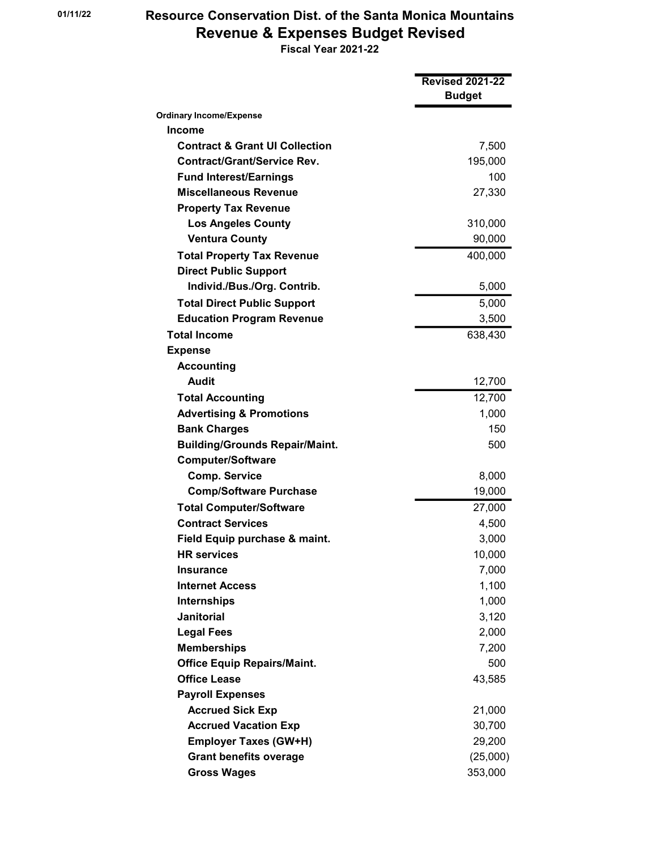## 01/11/22 Resource Conservation Dist. of the Santa Monica Mountains Revenue & Expenses Budget Revised

Fiscal Year 2021-22

|                                           | <b>Revised 2021-22</b><br><b>Budget</b> |
|-------------------------------------------|-----------------------------------------|
| <b>Ordinary Income/Expense</b>            |                                         |
| Income                                    |                                         |
| <b>Contract &amp; Grant UI Collection</b> | 7,500                                   |
| <b>Contract/Grant/Service Rev.</b>        | 195,000                                 |
| <b>Fund Interest/Earnings</b>             | 100                                     |
| <b>Miscellaneous Revenue</b>              | 27,330                                  |
| <b>Property Tax Revenue</b>               |                                         |
| <b>Los Angeles County</b>                 | 310,000                                 |
| <b>Ventura County</b>                     | 90,000                                  |
| <b>Total Property Tax Revenue</b>         | 400,000                                 |
| <b>Direct Public Support</b>              |                                         |
| Individ./Bus./Org. Contrib.               | 5,000                                   |
| <b>Total Direct Public Support</b>        | 5,000                                   |
| <b>Education Program Revenue</b>          | 3,500                                   |
| <b>Total Income</b>                       | 638,430                                 |
| <b>Expense</b>                            |                                         |
| <b>Accounting</b>                         |                                         |
| <b>Audit</b>                              | 12,700                                  |
| <b>Total Accounting</b>                   | 12,700                                  |
| <b>Advertising &amp; Promotions</b>       | 1,000                                   |
| <b>Bank Charges</b>                       | 150                                     |
| <b>Building/Grounds Repair/Maint.</b>     | 500                                     |
| <b>Computer/Software</b>                  |                                         |
| <b>Comp. Service</b>                      | 8,000                                   |
| <b>Comp/Software Purchase</b>             | 19,000                                  |
| <b>Total Computer/Software</b>            | 27,000                                  |
| <b>Contract Services</b>                  | 4,500                                   |
| Field Equip purchase & maint.             | 3,000                                   |
| <b>HR</b> services                        | 10,000                                  |
| <b>Insurance</b>                          | 7,000                                   |
| <b>Internet Access</b>                    | 1,100                                   |
| <b>Internships</b>                        | 1,000                                   |
| <b>Janitorial</b>                         | 3,120                                   |
| <b>Legal Fees</b>                         | 2,000                                   |
| <b>Memberships</b>                        | 7,200                                   |
| <b>Office Equip Repairs/Maint.</b>        | 500                                     |
| <b>Office Lease</b>                       | 43,585                                  |
| <b>Payroll Expenses</b>                   |                                         |
| <b>Accrued Sick Exp</b>                   | 21,000                                  |
| <b>Accrued Vacation Exp</b>               | 30,700                                  |
| <b>Employer Taxes (GW+H)</b>              | 29,200                                  |
| <b>Grant benefits overage</b>             | (25,000)                                |
| <b>Gross Wages</b>                        | 353,000                                 |